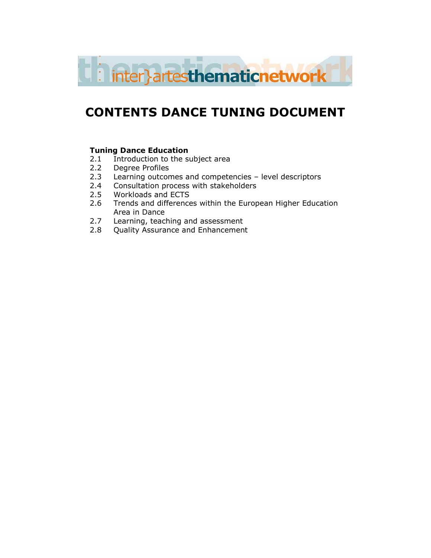

# CONTENTS DANCE TUNING DOCUMENT

#### Tuning Dance Education

- 2.1 Introduction to the subject area
- 2.2 Degree Profiles
- 2.3 Learning outcomes and competencies level descriptors
- 2.4 Consultation process with stakeholders
- 2.5 Workloads and ECTS
- 2.6 Trends and differences within the European Higher Education Area in Dance
- 2.7 Learning, teaching and assessment<br>2.8 Ouality Assurance and Enhancement
- **Quality Assurance and Enhancement**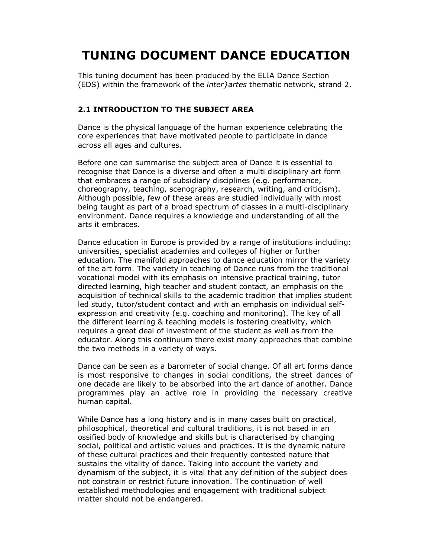# TUNING DOCUMENT DANCE EDUCATION

This tuning document has been produced by the ELIA Dance Section (EDS) within the framework of the inter}artes thematic network, strand 2.

#### 2.1 INTRODUCTION TO THE SUBJECT AREA

Dance is the physical language of the human experience celebrating the core experiences that have motivated people to participate in dance across all ages and cultures.

Before one can summarise the subject area of Dance it is essential to recognise that Dance is a diverse and often a multi disciplinary art form that embraces a range of subsidiary disciplines (e.g. performance, choreography, teaching, scenography, research, writing, and criticism). Although possible, few of these areas are studied individually with most being taught as part of a broad spectrum of classes in a multi-disciplinary environment. Dance requires a knowledge and understanding of all the arts it embraces.

Dance education in Europe is provided by a range of institutions including: universities, specialist academies and colleges of higher or further education. The manifold approaches to dance education mirror the variety of the art form. The variety in teaching of Dance runs from the traditional vocational model with its emphasis on intensive practical training, tutor directed learning, high teacher and student contact, an emphasis on the acquisition of technical skills to the academic tradition that implies student led study, tutor/student contact and with an emphasis on individual selfexpression and creativity (e.g. coaching and monitoring). The key of all the different learning & teaching models is fostering creativity, which requires a great deal of investment of the student as well as from the educator. Along this continuum there exist many approaches that combine the two methods in a variety of ways.

Dance can be seen as a barometer of social change. Of all art forms dance is most responsive to changes in social conditions, the street dances of one decade are likely to be absorbed into the art dance of another. Dance programmes play an active role in providing the necessary creative human capital.

While Dance has a long history and is in many cases built on practical, philosophical, theoretical and cultural traditions, it is not based in an ossified body of knowledge and skills but is characterised by changing social, political and artistic values and practices. It is the dynamic nature of these cultural practices and their frequently contested nature that sustains the vitality of dance. Taking into account the variety and dynamism of the subject, it is vital that any definition of the subject does not constrain or restrict future innovation. The continuation of well established methodologies and engagement with traditional subject matter should not be endangered.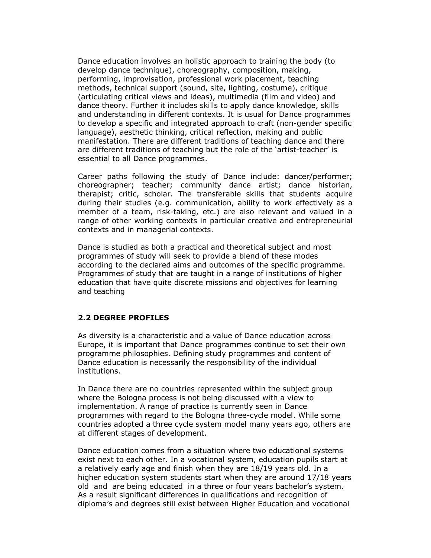Dance education involves an holistic approach to training the body (to develop dance technique), choreography, composition, making, performing, improvisation, professional work placement, teaching methods, technical support (sound, site, lighting, costume), critique (articulating critical views and ideas), multimedia (film and video) and dance theory. Further it includes skills to apply dance knowledge, skills and understanding in different contexts. It is usual for Dance programmes to develop a specific and integrated approach to craft (non-gender specific language), aesthetic thinking, critical reflection, making and public manifestation. There are different traditions of teaching dance and there are different traditions of teaching but the role of the 'artist-teacher' is essential to all Dance programmes.

Career paths following the study of Dance include: dancer/performer; choreographer; teacher; community dance artist; dance historian, therapist; critic, scholar. The transferable skills that students acquire during their studies (e.g. communication, ability to work effectively as a member of a team, risk-taking, etc.) are also relevant and valued in a range of other working contexts in particular creative and entrepreneurial contexts and in managerial contexts.

Dance is studied as both a practical and theoretical subject and most programmes of study will seek to provide a blend of these modes according to the declared aims and outcomes of the specific programme. Programmes of study that are taught in a range of institutions of higher education that have quite discrete missions and objectives for learning and teaching

#### 2.2 DEGREE PROFILES

As diversity is a characteristic and a value of Dance education across Europe, it is important that Dance programmes continue to set their own programme philosophies. Defining study programmes and content of Dance education is necessarily the responsibility of the individual institutions.

In Dance there are no countries represented within the subject group where the Bologna process is not being discussed with a view to implementation. A range of practice is currently seen in Dance programmes with regard to the Bologna three-cycle model. While some countries adopted a three cycle system model many years ago, others are at different stages of development.

Dance education comes from a situation where two educational systems exist next to each other. In a vocational system, education pupils start at a relatively early age and finish when they are 18/19 years old. In a higher education system students start when they are around 17/18 years old and are being educated in a three or four years bachelor's system. As a result significant differences in qualifications and recognition of diploma's and degrees still exist between Higher Education and vocational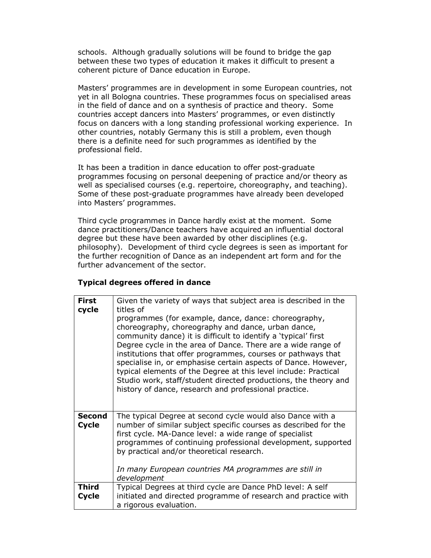schools. Although gradually solutions will be found to bridge the gap between these two types of education it makes it difficult to present a coherent picture of Dance education in Europe.

Masters' programmes are in development in some European countries, not yet in all Bologna countries. These programmes focus on specialised areas in the field of dance and on a synthesis of practice and theory. Some countries accept dancers into Masters' programmes, or even distinctly focus on dancers with a long standing professional working experience. In other countries, notably Germany this is still a problem, even though there is a definite need for such programmes as identified by the professional field.

It has been a tradition in dance education to offer post-graduate programmes focusing on personal deepening of practice and/or theory as well as specialised courses (e.g. repertoire, choreography, and teaching). Some of these post-graduate programmes have already been developed into Masters' programmes.

Third cycle programmes in Dance hardly exist at the moment. Some dance practitioners/Dance teachers have acquired an influential doctoral degree but these have been awarded by other disciplines (e.g. philosophy). Development of third cycle degrees is seen as important for the further recognition of Dance as an independent art form and for the further advancement of the sector.

#### Typical degrees offered in dance

| <b>First</b><br>cycle        | Given the variety of ways that subject area is described in the<br>titles of<br>programmes (for example, dance, dance: choreography,<br>choreography, choreography and dance, urban dance,<br>community dance) it is difficult to identify a 'typical' first<br>Degree cycle in the area of Dance. There are a wide range of<br>institutions that offer programmes, courses or pathways that<br>specialise in, or emphasise certain aspects of Dance. However,<br>typical elements of the Degree at this level include: Practical<br>Studio work, staff/student directed productions, the theory and<br>history of dance, research and professional practice. |
|------------------------------|---------------------------------------------------------------------------------------------------------------------------------------------------------------------------------------------------------------------------------------------------------------------------------------------------------------------------------------------------------------------------------------------------------------------------------------------------------------------------------------------------------------------------------------------------------------------------------------------------------------------------------------------------------------|
| <b>Second</b><br>Cycle       | The typical Degree at second cycle would also Dance with a<br>number of similar subject specific courses as described for the<br>first cycle. MA-Dance level: a wide range of specialist<br>programmes of continuing professional development, supported<br>by practical and/or theoretical research.<br>In many European countries MA programmes are still in<br>development                                                                                                                                                                                                                                                                                 |
| <b>Third</b><br><b>Cycle</b> | Typical Degrees at third cycle are Dance PhD level: A self<br>initiated and directed programme of research and practice with<br>a rigorous evaluation.                                                                                                                                                                                                                                                                                                                                                                                                                                                                                                        |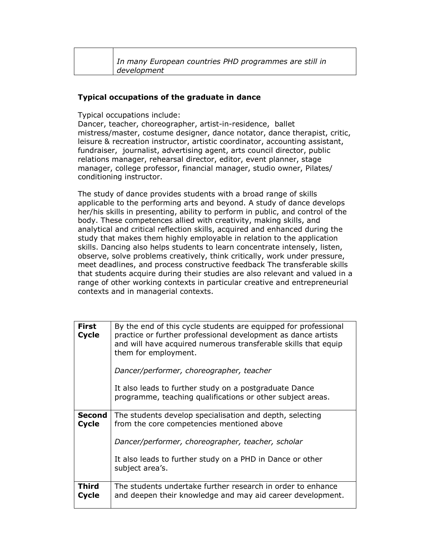| In many European countries PHD programmes are still in |
|--------------------------------------------------------|
| development                                            |

#### Typical occupations of the graduate in dance

Typical occupations include:

Dancer, teacher, choreographer, artist-in-residence, ballet mistress/master, costume designer, dance notator, dance therapist, critic, leisure & recreation instructor, artistic coordinator, accounting assistant, fundraiser, journalist, advertising agent, arts council director, public relations manager, rehearsal director, editor, event planner, stage manager, college professor, financial manager, studio owner, Pilates/ conditioning instructor.

The study of dance provides students with a broad range of skills applicable to the performing arts and beyond. A study of dance develops her/his skills in presenting, ability to perform in public, and control of the body. These competences allied with creativity, making skills, and analytical and critical reflection skills, acquired and enhanced during the study that makes them highly employable in relation to the application skills. Dancing also helps students to learn concentrate intensely, listen, observe, solve problems creatively, think critically, work under pressure, meet deadlines, and process constructive feedback The transferable skills that students acquire during their studies are also relevant and valued in a range of other working contexts in particular creative and entrepreneurial contexts and in managerial contexts.

| <b>First</b><br>Cycle         | By the end of this cycle students are equipped for professional<br>practice or further professional development as dance artists<br>and will have acquired numerous transferable skills that equip<br>them for employment. |
|-------------------------------|----------------------------------------------------------------------------------------------------------------------------------------------------------------------------------------------------------------------------|
|                               | Dancer/performer, choreographer, teacher                                                                                                                                                                                   |
|                               | It also leads to further study on a postgraduate Dance<br>programme, teaching qualifications or other subject areas.                                                                                                       |
| <b>Second</b><br><b>Cycle</b> | The students develop specialisation and depth, selecting<br>from the core competencies mentioned above                                                                                                                     |
|                               | Dancer/performer, choreographer, teacher, scholar                                                                                                                                                                          |
|                               | It also leads to further study on a PHD in Dance or other<br>subject area's.                                                                                                                                               |
| Third<br>Cycle                | The students undertake further research in order to enhance<br>and deepen their knowledge and may aid career development.                                                                                                  |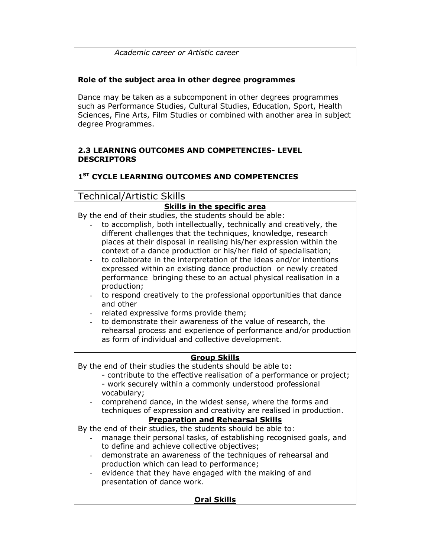| Academic career or Artistic career |
|------------------------------------|
|                                    |

# Role of the subject area in other degree programmes

Dance may be taken as a subcomponent in other degrees programmes such as Performance Studies, Cultural Studies, Education, Sport, Health Sciences, Fine Arts, Film Studies or combined with another area in subject degree Programmes.

### 2.3 LEARNING OUTCOMES AND COMPETENCIES- LEVEL DESCRIPTORS

# 1<sup>ST</sup> CYCLE LEARNING OUTCOMES AND COMPETENCIES

| <b>Technical/Artistic Skills</b>                                                                                                    |  |  |
|-------------------------------------------------------------------------------------------------------------------------------------|--|--|
| <b>Skills in the specific area</b>                                                                                                  |  |  |
| By the end of their studies, the students should be able:                                                                           |  |  |
| to accomplish, both intellectually, technically and creatively, the                                                                 |  |  |
| different challenges that the techniques, knowledge, research                                                                       |  |  |
| places at their disposal in realising his/her expression within the                                                                 |  |  |
| context of a dance production or his/her field of specialisation;                                                                   |  |  |
| to collaborate in the interpretation of the ideas and/or intentions                                                                 |  |  |
| expressed within an existing dance production or newly created<br>performance bringing these to an actual physical realisation in a |  |  |
| production;                                                                                                                         |  |  |
| to respond creatively to the professional opportunities that dance                                                                  |  |  |
| and other                                                                                                                           |  |  |
| related expressive forms provide them;                                                                                              |  |  |
| to demonstrate their awareness of the value of research, the                                                                        |  |  |
| rehearsal process and experience of performance and/or production                                                                   |  |  |
| as form of individual and collective development.                                                                                   |  |  |
|                                                                                                                                     |  |  |
| <b>Group Skills</b>                                                                                                                 |  |  |
| By the end of their studies the students should be able to:                                                                         |  |  |
| - contribute to the effective realisation of a performance or project;                                                              |  |  |
| - work securely within a commonly understood professional<br>vocabulary;                                                            |  |  |
| comprehend dance, in the widest sense, where the forms and                                                                          |  |  |
| techniques of expression and creativity are realised in production.                                                                 |  |  |
| <b>Preparation and Rehearsal Skills</b>                                                                                             |  |  |
| By the end of their studies, the students should be able to:                                                                        |  |  |
| manage their personal tasks, of establishing recognised goals, and                                                                  |  |  |
| to define and achieve collective objectives;                                                                                        |  |  |
| demonstrate an awareness of the techniques of rehearsal and<br>$\overline{\phantom{a}}$                                             |  |  |
| production which can lead to performance;                                                                                           |  |  |
| evidence that they have engaged with the making of and                                                                              |  |  |
| presentation of dance work.                                                                                                         |  |  |
|                                                                                                                                     |  |  |
| <b>Oral Skills</b>                                                                                                                  |  |  |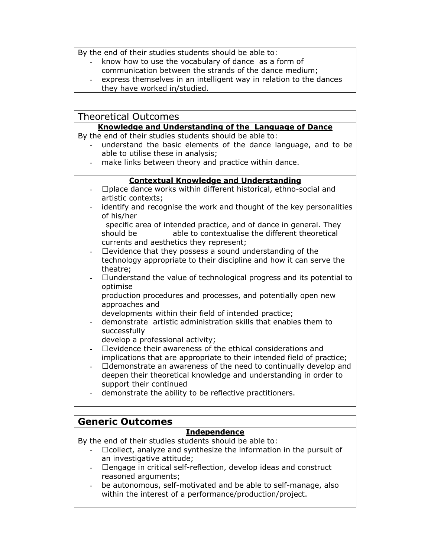By the end of their studies students should be able to:

- know how to use the vocabulary of dance as a form of
- communication between the strands of the dance medium;
- express themselves in an intelligent way in relation to the dances
- they have worked in/studied.

| <b>Theoretical Outcomes</b>                                                                                                                                                  |  |  |
|------------------------------------------------------------------------------------------------------------------------------------------------------------------------------|--|--|
| Knowledge and Understanding of the Language of Dance                                                                                                                         |  |  |
| By the end of their studies students should be able to:                                                                                                                      |  |  |
| understand the basic elements of the dance language, and to be<br>able to utilise these in analysis;                                                                         |  |  |
| make links between theory and practice within dance.                                                                                                                         |  |  |
| <b>Contextual Knowledge and Understanding</b>                                                                                                                                |  |  |
| A place dance works within different historical, ethno-social and<br>artistic contexts;                                                                                      |  |  |
| identify and recognise the work and thought of the key personalities<br>of his/her                                                                                           |  |  |
| specific area of intended practice, and of dance in general. They<br>able to contextualise the different theoretical<br>should be<br>currents and aesthetics they represent; |  |  |
| A evidence that they possess a sound understanding of the<br>technology appropriate to their discipline and how it can serve the<br>theatre;                                 |  |  |
| A understand the value of technological progress and its potential to<br>optimise                                                                                            |  |  |
| production procedures and processes, and potentially open new<br>approaches and                                                                                              |  |  |
| developments within their field of intended practice;                                                                                                                        |  |  |
| demonstrate artistic administration skills that enables them to<br>successfully                                                                                              |  |  |
| develop a professional activity;                                                                                                                                             |  |  |
| A evidence their awareness of the ethical considerations and                                                                                                                 |  |  |
| implications that are appropriate to their intended field of practice;<br>A demonstrate an awareness of the need to continually develop and                                  |  |  |
| deepen their theoretical knowledge and understanding in order to                                                                                                             |  |  |
| support their continued                                                                                                                                                      |  |  |
| demonstrate the ability to be reflective practitioners.                                                                                                                      |  |  |
|                                                                                                                                                                              |  |  |

# Generic Outcomes

# **Independence**

By the end of their studies students should be able to:

- Acollect, analyze and synthesize the information in the pursuit of an investigative attitude;
- Aengage in critical self-reflection, develop ideas and construct reasoned arguments;
- be autonomous, self-motivated and be able to self-manage, also within the interest of a performance/production/project.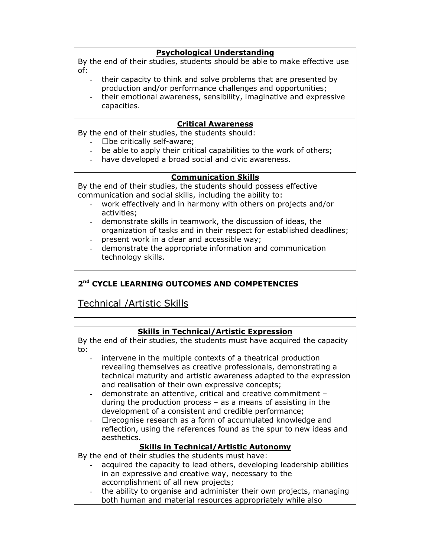#### Psychological Understanding

By the end of their studies, students should be able to make effective use of:

- their capacity to think and solve problems that are presented by production and/or performance challenges and opportunities;
- their emotional awareness, sensibility, imaginative and expressive capacities.

#### Critical Awareness

By the end of their studies, the students should:

- A be critically self-aware;
- be able to apply their critical capabilities to the work of others;
- have developed a broad social and civic awareness.

#### Communication Skills

By the end of their studies, the students should possess effective communication and social skills, including the ability to:

- work effectively and in harmony with others on projects and/or activities;
- demonstrate skills in teamwork, the discussion of ideas, the organization of tasks and in their respect for established deadlines;
- present work in a clear and accessible way;
- demonstrate the appropriate information and communication technology skills.

#### 2<sup>nd</sup> CYCLE LEARNING OUTCOMES AND COMPETENCIES

# Technical /Artistic Skills

#### Skills in Technical/Artistic Expression

By the end of their studies, the students must have acquired the capacity to:

- intervene in the multiple contexts of a theatrical production revealing themselves as creative professionals, demonstrating a technical maturity and artistic awareness adapted to the expression and realisation of their own expressive concepts;
- demonstrate an attentive, critical and creative commitment during the production process – as a means of assisting in the development of a consistent and credible performance;
- A recognise research as a form of accumulated knowledge and reflection, using the references found as the spur to new ideas and aesthetics.

# Skills in Technical/Artistic Autonomy

By the end of their studies the students must have:

- acquired the capacity to lead others, developing leadership abilities in an expressive and creative way, necessary to the accomplishment of all new projects;
- the ability to organise and administer their own projects, managing both human and material resources appropriately while also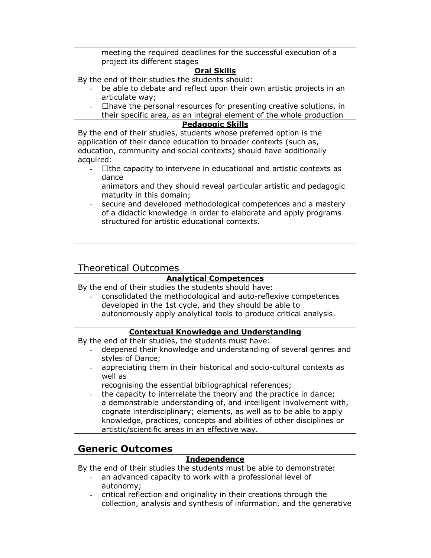| meeting the required deadlines for the successful execution of a<br>project its different stages                  |  |
|-------------------------------------------------------------------------------------------------------------------|--|
| <b>Oral Skills</b>                                                                                                |  |
| By the end of their studies the students should:                                                                  |  |
| be able to debate and reflect upon their own artistic projects in an                                              |  |
| articulate way;                                                                                                   |  |
| A have the personal resources for presenting creative solutions, in                                               |  |
| their specific area, as an integral element of the whole production                                               |  |
| <b>Pedagogic Skills</b>                                                                                           |  |
| By the end of their studies, students whose preferred option is the                                               |  |
| application of their dance education to broader contexts (such as,                                                |  |
| education, community and social contexts) should have additionally                                                |  |
| acquired:                                                                                                         |  |
| A the capacity to intervene in educational and artistic contexts as                                               |  |
| dance                                                                                                             |  |
| animators and they should reveal particular artistic and pedagogic                                                |  |
| maturity in this domain;                                                                                          |  |
| secure and developed methodological competences and a mastery                                                     |  |
| of a didactic knowledge in order to elaborate and apply programs<br>structured for artistic educational contexts. |  |
|                                                                                                                   |  |
|                                                                                                                   |  |

### Theoretical Outcomes

#### Analytical Competences

By the end of their studies the students should have:

- consolidated the methodological and auto-reflexive competences developed in the 1st cycle, and they should be able to autonomously apply analytical tools to produce critical analysis.

#### Contextual Knowledge and Understanding

By the end of their studies, the students must have:

- deepened their knowledge and understanding of several genres and styles of Dance;
- appreciating them in their historical and socio-cultural contexts as well as
	- recognising the essential bibliographical references;
- the capacity to interrelate the theory and the practice in dance; a demonstrable understanding of, and intelligent involvement with, cognate interdisciplinary; elements, as well as to be able to apply knowledge, practices, concepts and abilities of other disciplines or artistic/scientific areas in an effective way.

# Generic Outcomes

#### Independence

By the end of their studies the students must be able to demonstrate:

- an advanced capacity to work with a professional level of autonomy;
- critical reflection and originality in their creations through the collection, analysis and synthesis of information, and the generative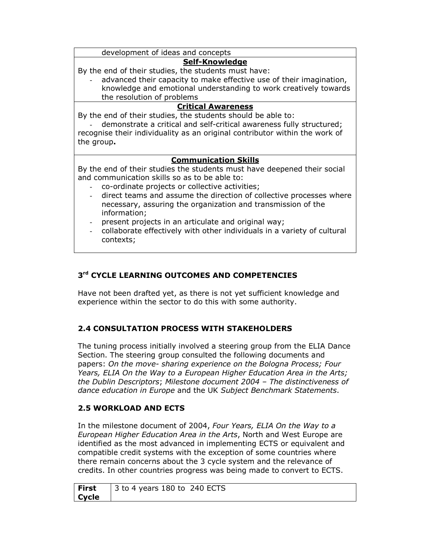development of ideas and concepts

### Self-Knowledge

By the end of their studies, the students must have:

advanced their capacity to make effective use of their imagination, knowledge and emotional understanding to work creatively towards the resolution of problems

## Critical Awareness

By the end of their studies, the students should be able to:

demonstrate a critical and self-critical awareness fully structured; recognise their individuality as an original contributor within the work of the group.

### Communication Skills

By the end of their studies the students must have deepened their social and communication skills so as to be able to:

- co-ordinate projects or collective activities;
- direct teams and assume the direction of collective processes where necessary, assuring the organization and transmission of the information;
- present projects in an articulate and original way;
- collaborate effectively with other individuals in a variety of cultural contexts;

# 3<sup>rd</sup> CYCLE LEARNING OUTCOMES AND COMPETENCIES

Have not been drafted yet, as there is not yet sufficient knowledge and experience within the sector to do this with some authority.

# 2.4 CONSULTATION PROCESS WITH STAKEHOLDERS

The tuning process initially involved a steering group from the ELIA Dance Section. The steering group consulted the following documents and papers: On the move- sharing experience on the Bologna Process; Four Years, ELIA On the Way to a European Higher Education Area in the Arts; the Dublin Descriptors; Milestone document 2004 – The distinctiveness of dance education in Europe and the UK Subject Benchmark Statements.

# 2.5 WORKLOAD AND ECTS

In the milestone document of 2004, Four Years, ELIA On the Way to a European Higher Education Area in the Arts, North and West Europe are identified as the most advanced in implementing ECTS or equivalent and compatible credit systems with the exception of some countries where there remain concerns about the 3 cycle system and the relevance of credits. In other countries progress was being made to convert to ECTS.

| First | $\vert$ 3 to 4 years 180 to 240 ECTS |
|-------|--------------------------------------|
| Cycle |                                      |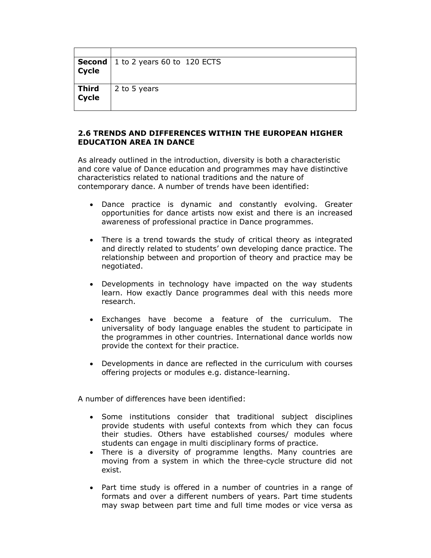| <b>Second</b> | 1 to 2 years 60 to 120 ECTS |
|---------------|-----------------------------|
| <b>Cycle</b>  |                             |
|               |                             |
| <b>Third</b>  | 2 to 5 years                |
| <b>Cycle</b>  |                             |
|               |                             |

#### 2.6 TRENDS AND DIFFERENCES WITHIN THE EUROPEAN HIGHER EDUCATION AREA IN DANCE

As already outlined in the introduction, diversity is both a characteristic and core value of Dance education and programmes may have distinctive characteristics related to national traditions and the nature of contemporary dance. A number of trends have been identified:

- Dance practice is dynamic and constantly evolving. Greater opportunities for dance artists now exist and there is an increased awareness of professional practice in Dance programmes.
- There is a trend towards the study of critical theory as integrated and directly related to students' own developing dance practice. The relationship between and proportion of theory and practice may be negotiated.
- Developments in technology have impacted on the way students learn. How exactly Dance programmes deal with this needs more research.
- Exchanges have become a feature of the curriculum. The universality of body language enables the student to participate in the programmes in other countries. International dance worlds now provide the context for their practice.
- Developments in dance are reflected in the curriculum with courses offering projects or modules e.g. distance-learning.

A number of differences have been identified:

- Some institutions consider that traditional subject disciplines provide students with useful contexts from which they can focus their studies. Others have established courses/ modules where students can engage in multi disciplinary forms of practice.
- There is a diversity of programme lengths. Many countries are moving from a system in which the three-cycle structure did not exist.
- Part time study is offered in a number of countries in a range of formats and over a different numbers of years. Part time students may swap between part time and full time modes or vice versa as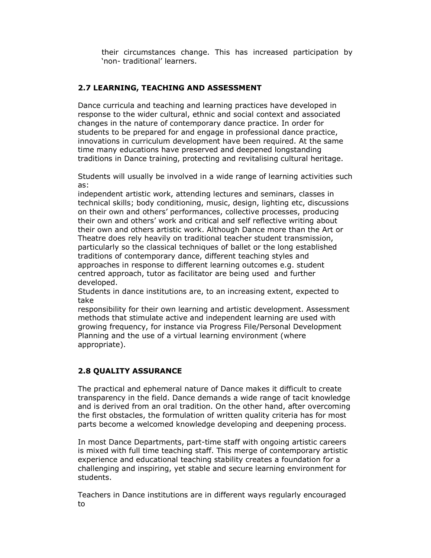their circumstances change. This has increased participation by 'non- traditional' learners.

## 2.7 LEARNING, TEACHING AND ASSESSMENT

Dance curricula and teaching and learning practices have developed in response to the wider cultural, ethnic and social context and associated changes in the nature of contemporary dance practice. In order for students to be prepared for and engage in professional dance practice, innovations in curriculum development have been required. At the same time many educations have preserved and deepened longstanding traditions in Dance training, protecting and revitalising cultural heritage.

Students will usually be involved in a wide range of learning activities such as:

independent artistic work, attending lectures and seminars, classes in technical skills; body conditioning, music, design, lighting etc, discussions on their own and others' performances, collective processes, producing their own and others' work and critical and self reflective writing about their own and others artistic work. Although Dance more than the Art or Theatre does rely heavily on traditional teacher student transmission, particularly so the classical techniques of ballet or the long established traditions of contemporary dance, different teaching styles and approaches in response to different learning outcomes e.g. student centred approach, tutor as facilitator are being used and further developed.

Students in dance institutions are, to an increasing extent, expected to take

responsibility for their own learning and artistic development. Assessment methods that stimulate active and independent learning are used with growing frequency, for instance via Progress File/Personal Development Planning and the use of a virtual learning environment (where appropriate).

#### 2.8 QUALITY ASSURANCE

The practical and ephemeral nature of Dance makes it difficult to create transparency in the field. Dance demands a wide range of tacit knowledge and is derived from an oral tradition. On the other hand, after overcoming the first obstacles, the formulation of written quality criteria has for most parts become a welcomed knowledge developing and deepening process.

In most Dance Departments, part-time staff with ongoing artistic careers is mixed with full time teaching staff. This merge of contemporary artistic experience and educational teaching stability creates a foundation for a challenging and inspiring, yet stable and secure learning environment for students.

Teachers in Dance institutions are in different ways regularly encouraged to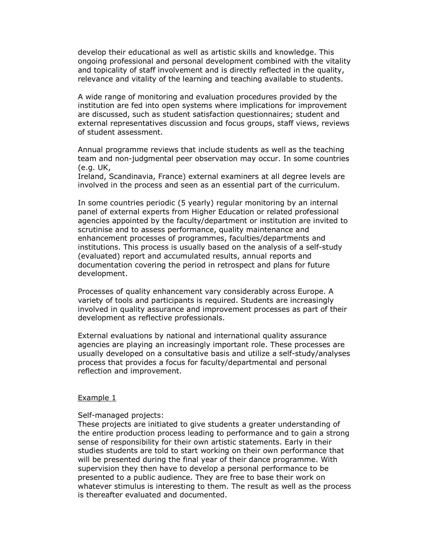develop their educational as well as artistic skills and knowledge. This ongoing professional and personal development combined with the vitality and topicality of staff involvement and is directly reflected in the quality, relevance and vitality of the learning and teaching available to students.

A wide range of monitoring and evaluation procedures provided by the institution are fed into open systems where implications for improvement are discussed, such as student satisfaction questionnaires; student and external representatives discussion and focus groups, staff views, reviews of student assessment.

Annual programme reviews that include students as well as the teaching team and non-judgmental peer observation may occur. In some countries (e.g. UK,

Ireland, Scandinavia, France) external examiners at all degree levels are involved in the process and seen as an essential part of the curriculum.

In some countries periodic (5 yearly) regular monitoring by an internal panel of external experts from Higher Education or related professional agencies appointed by the faculty/department or institution are invited to scrutinise and to assess performance, quality maintenance and enhancement processes of programmes, faculties/departments and institutions. This process is usually based on the analysis of a self-study (evaluated) report and accumulated results, annual reports and documentation covering the period in retrospect and plans for future development.

Processes of quality enhancement vary considerably across Europe. A variety of tools and participants is required. Students are increasingly involved in quality assurance and improvement processes as part of their development as reflective professionals.

External evaluations by national and international quality assurance agencies are playing an increasingly important role. These processes are usually developed on a consultative basis and utilize a self-study/analyses process that provides a focus for faculty/departmental and personal reflection and improvement.

#### Example 1

Self-managed projects:

These projects are initiated to give students a greater understanding of the entire production process leading to performance and to gain a strong sense of responsibility for their own artistic statements. Early in their studies students are told to start working on their own performance that will be presented during the final year of their dance programme. With supervision they then have to develop a personal performance to be presented to a public audience. They are free to base their work on whatever stimulus is interesting to them. The result as well as the process is thereafter evaluated and documented.